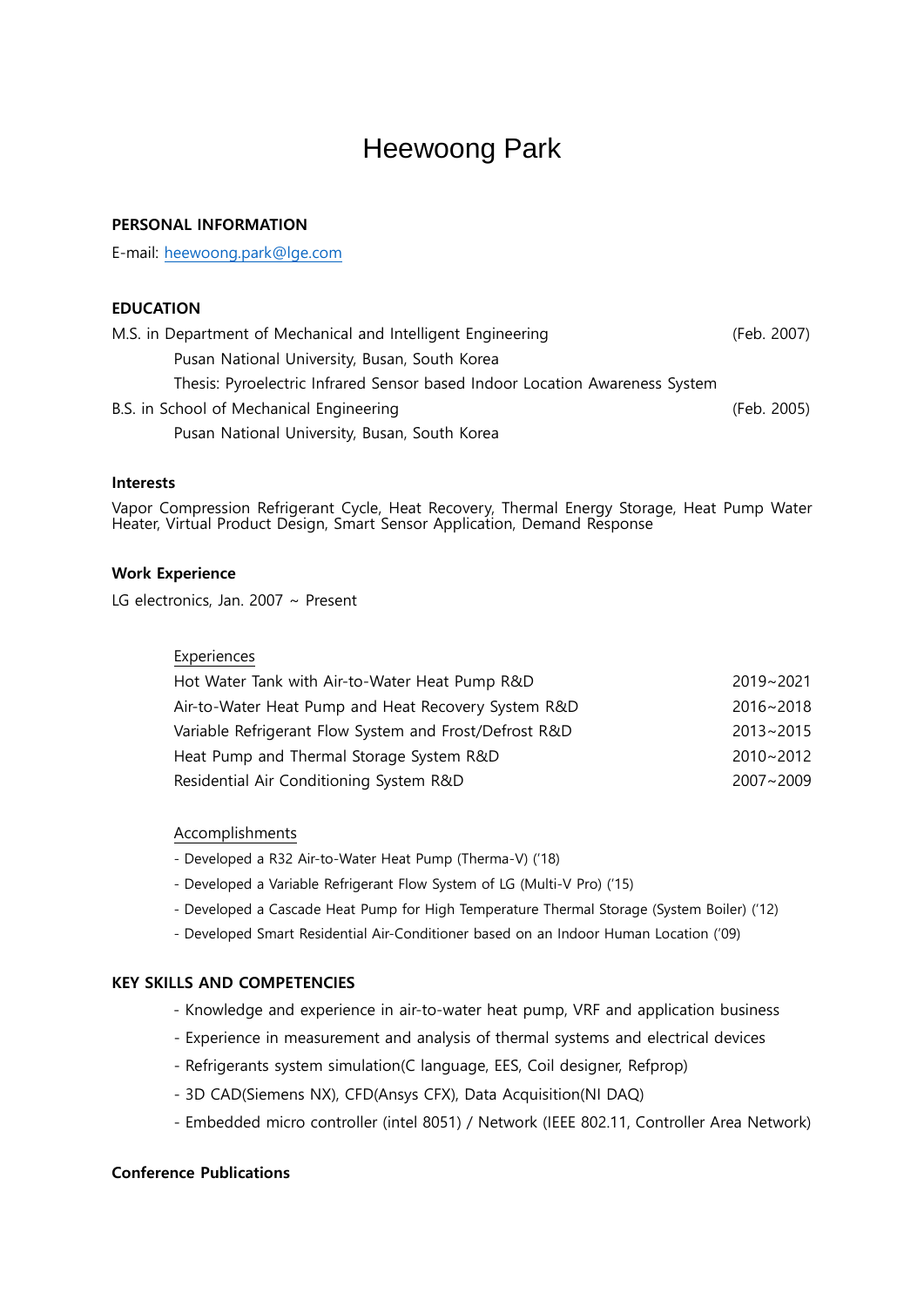# Heewoong Park

## PERSONAL INFORMATION

E-mail: [heewoong.park@lge.com](mailto:heewoong.park@lge.com)

## EDUCATION

| M.S. in Department of Mechanical and Intelligent Engineering                | (Feb. 2007) |
|-----------------------------------------------------------------------------|-------------|
| Pusan National University, Busan, South Korea                               |             |
| Thesis: Pyroelectric Infrared Sensor based Indoor Location Awareness System |             |
| B.S. in School of Mechanical Engineering                                    | (Feb. 2005) |
| Pusan National University, Busan, South Korea                               |             |

#### Interests

Vapor Compression Refrigerant Cycle, Heat Recovery, Thermal Energy Storage, Heat Pump Water Heater, Virtual Product Design, Smart Sensor Application, Demand Response

### Work Experience

LG electronics, Jan. 2007 ~ Present

## Experiences

| Hot Water Tank with Air-to-Water Heat Pump R&D         | 2019~2021     |
|--------------------------------------------------------|---------------|
| Air-to-Water Heat Pump and Heat Recovery System R&D    | 2016~2018     |
| Variable Refrigerant Flow System and Frost/Defrost R&D | 2013~2015     |
| Heat Pump and Thermal Storage System R&D               | 2010~2012     |
| Residential Air Conditioning System R&D                | $2007 - 2009$ |

#### Accomplishments

- Developed a R32 Air-to-Water Heat Pump (Therma-V) ('18)
- Developed a Variable Refrigerant Flow System of LG (Multi-V Pro) ('15)
- Developed a Cascade Heat Pump for High Temperature Thermal Storage (System Boiler) ('12)
- Developed Smart Residential Air-Conditioner based on an Indoor Human Location ('09)

## KEY SKILLS AND COMPETENCIES

- Knowledge and experience in air-to-water heat pump, VRF and application business
- Experience in measurement and analysis of thermal systems and electrical devices
- Refrigerants system simulation(C language, EES, Coil designer, Refprop)
- 3D CAD(Siemens NX), CFD(Ansys CFX), Data Acquisition(NI DAQ)
- Embedded micro controller (intel 8051) / Network (IEEE 802.11, Controller Area Network)

#### Conference Publications